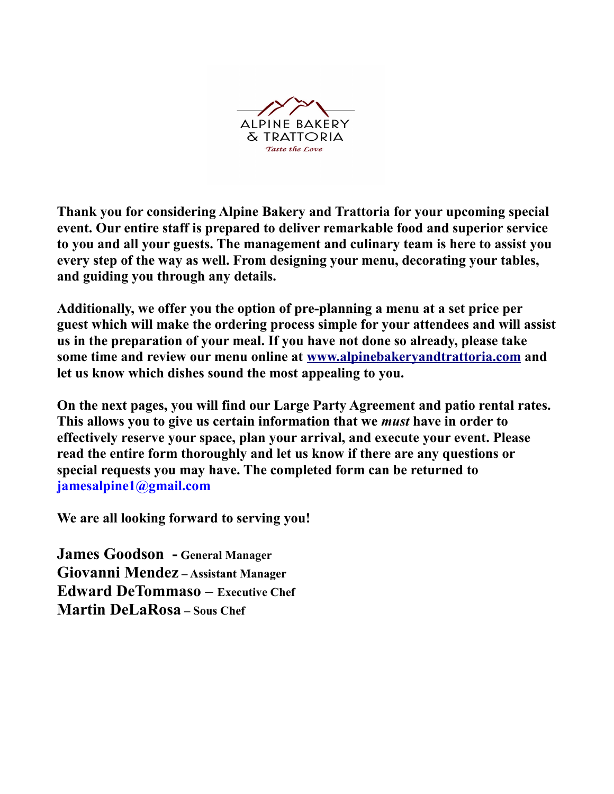

**Thank you for considering Alpine Bakery and Trattoria for your upcoming special event. Our entire staff is prepared to deliver remarkable food and superior service to you and all your guests. The management and culinary team is here to assist you every step of the way as well. From designing your menu, decorating your tables, and guiding you through any details.**

**Additionally, we offer you the option of pre-planning a menu at a set price per guest which will make the ordering process simple for your attendees and will assist us in the preparation of your meal. If you have not done so already, please take some time and review our menu online at [www.alpinebakeryandtrattoria.com](http://www.alpinebakeryandtrattoria.com/) and let us know which dishes sound the most appealing to you.** 

**On the next pages, you will find our Large Party Agreement and patio rental rates. This allows you to give us certain information that we** *must* **have in order to effectively reserve your space, plan your arrival, and execute your event. Please read the entire form thoroughly and let us know if there are any questions or special requests you may have. The completed form can be returned to jamesalpine1@gmail.com**

**We are all looking forward to serving you!**

**James Goodson - General Manager Giovanni Mendez – Assistant Manager Edward DeTommaso – Executive Chef Martin DeLaRosa – Sous Chef**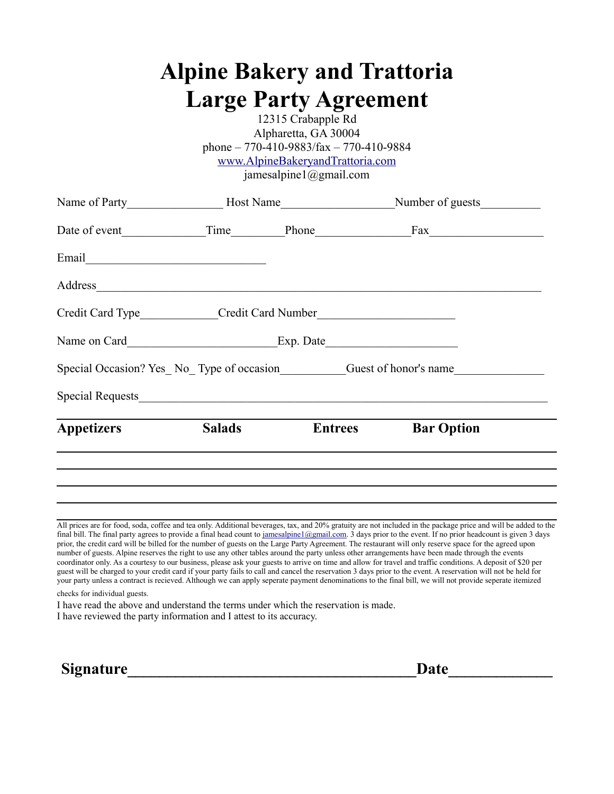|                                                                                  | <b>Alpine Bakery and Trattoria</b><br><b>Large Party Agreement</b><br>12315 Crabapple Rd<br>Alpharetta, GA 30004<br>phone $-770-410-9883$ /fax $-770-410-9884$<br>www.AlpineBakeryandTrattoria.com<br>jamesalpine1@gmail.com |                                                                                                      |
|----------------------------------------------------------------------------------|------------------------------------------------------------------------------------------------------------------------------------------------------------------------------------------------------------------------------|------------------------------------------------------------------------------------------------------|
|                                                                                  |                                                                                                                                                                                                                              | Name of Party_______________________Host Name___________________________Number of guests____________ |
|                                                                                  |                                                                                                                                                                                                                              |                                                                                                      |
|                                                                                  |                                                                                                                                                                                                                              |                                                                                                      |
|                                                                                  |                                                                                                                                                                                                                              |                                                                                                      |
| Credit Card Type_____________Credit Card Number_________________________________ |                                                                                                                                                                                                                              |                                                                                                      |
|                                                                                  |                                                                                                                                                                                                                              |                                                                                                      |
|                                                                                  |                                                                                                                                                                                                                              |                                                                                                      |
|                                                                                  |                                                                                                                                                                                                                              | Special Occasion? Yes_No_Type of occasion Guest of honor's name                                      |
|                                                                                  |                                                                                                                                                                                                                              |                                                                                                      |

All prices are for food, soda, coffee and tea only. Additional beverages, tax, and 20% gratuity are not included in the package price and will be added to the final bill. The final party agrees to provide a final head count to [jamesalpine1@gmail.com.](mailto:jamesalpine1@gmail.com) 3 days prior to the event. If no prior headcount is given 3 days prior, the credit card will be billed for the number of guests on the Large Party Agreement. The restaurant will only reserve space for the agreed upon number of guests. Alpine reserves the right to use any other tables around the party unless other arrangements have been made through the events coordinator only. As a courtesy to our business, please ask your guests to arrive on time and allow for travel and traffic conditions. A deposit of \$20 per guest will be charged to your credit card if your party fails to call and cancel the reservation 3 days prior to the event. A reservation will not be held for your party unless a contract is recieved. Although we can apply seperate payment denominations to the final bill, we will not provide seperate itemized

checks for individual guests.

I have read the above and understand the terms under which the reservation is made.

I have reviewed the party information and I attest to its accuracy.

**Signature** Date